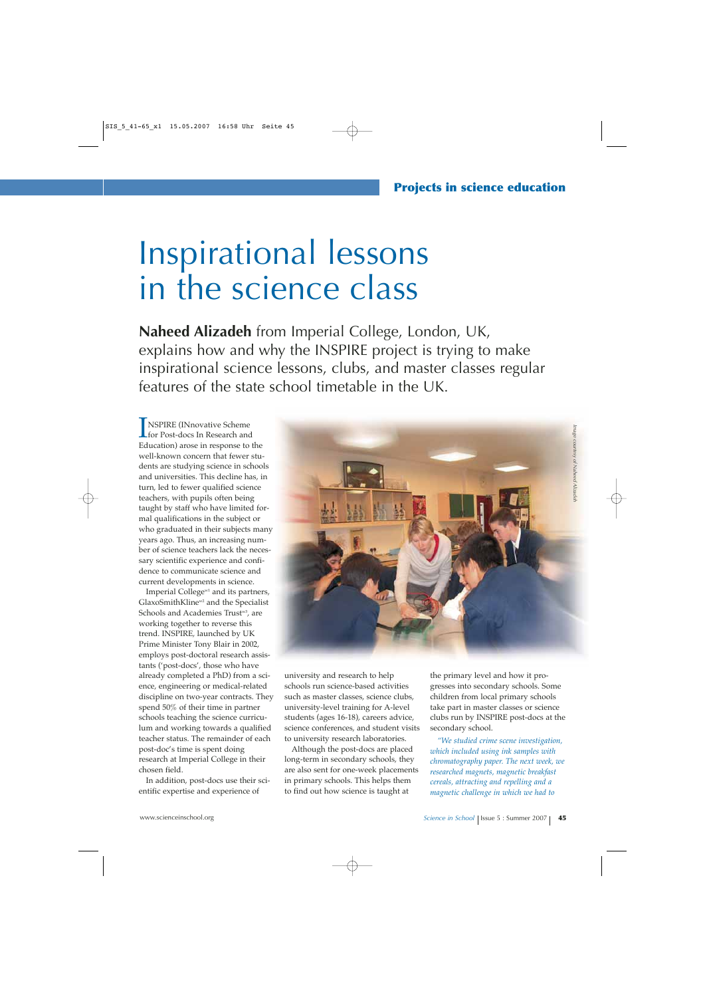# Inspirational lessons in the science class

**Naheed Alizadeh** from Imperial College, London, UK, explains how and why the INSPIRE project is trying to make inspirational science lessons, clubs, and master classes regular features of the state school timetable in the UK.

**INSPIRE (INnovative Scheme)**<br>
for Post-docs In Research and<br>
Education) area in response to for Post-docs In Research and Education) arose in response to the well-known concern that fewer students are studying science in schools and universities. This decline has, in turn, led to fewer qualified science teachers, with pupils often being taught by staff who have limited formal qualifications in the subject or who graduated in their subjects many years ago. Thus, an increasing number of science teachers lack the necessary scientific experience and confidence to communicate science and current developments in science.

Imperial College<sup>w1</sup> and its partners, GlaxoSmithKline<sup>w2</sup> and the Specialist Schools and Academies Trust<sup>w3</sup>, are working together to reverse this trend. INSPIRE, launched by UK Prime Minister Tony Blair in 2002, employs post-doctoral research assistants ('post-docs', those who have already completed a PhD) from a science, engineering or medical-related discipline on two-year contracts. They spend 50% of their time in partner schools teaching the science curriculum and working towards a qualified teacher status. The remainder of each post-doc's time is spent doing research at Imperial College in their chosen field.

In addition, post-docs use their scientific expertise and experience of



university and research to help schools run science-based activities such as master classes, science clubs, university-level training for A-level students (ages 16-18), careers advice, science conferences, and student visits to university research laboratories.

Although the post-docs are placed long-term in secondary schools, they are also sent for one-week placements in primary schools. This helps them to find out how science is taught at

the primary level and how it progresses into secondary schools. Some children from local primary schools take part in master classes or science clubs run by INSPIRE post-docs at the secondary school.

*"We studied crime scene investigation, which included using ink samples with chromatography paper. The next week, we researched magnets, magnetic breakfast cereals, attracting and repelling and a magnetic challenge in which we had to*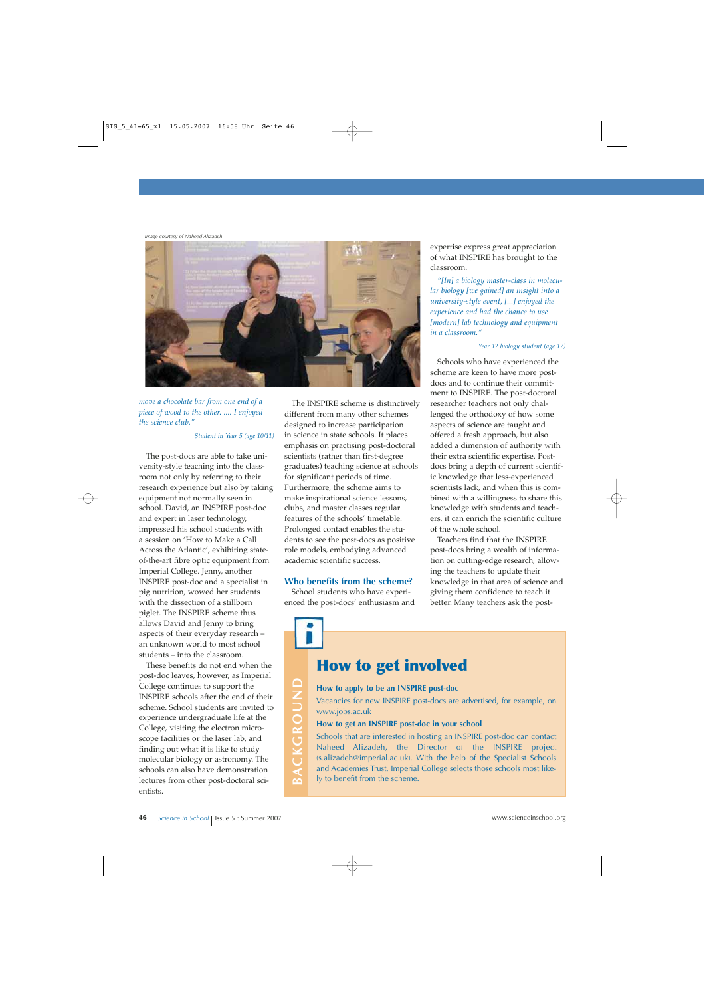*Image courtesy of Naheed Alizadeh*



*move a chocolate bar from one end of a piece of wood to the other. .... I enjoyed the science club."*

### *Student in Year 5 (age 10/11)*

The post-docs are able to take university-style teaching into the classroom not only by referring to their research experience but also by taking equipment not normally seen in school. David, an INSPIRE post-doc and expert in laser technology, impressed his school students with a session on 'How to Make a Call Across the Atlantic', exhibiting stateof-the-art fibre optic equipment from Imperial College. Jenny, another INSPIRE post-doc and a specialist in pig nutrition, wowed her students with the dissection of a stillborn piglet. The INSPIRE scheme thus allows David and Jenny to bring aspects of their everyday research – an unknown world to most school students – into the classroom.

These benefits do not end when the post-doc leaves, however, as Imperial College continues to support the INSPIRE schools after the end of their scheme. School students are invited to experience undergraduate life at the College, visiting the electron microscope facilities or the laser lab, and finding out what it is like to study molecular biology or astronomy. The schools can also have demonstration lectures from other post-doctoral scientists. College continues to support the<br>
INSPIRE schools after the end of their<br>
scheme. School students are invited to<br>
experience undergraduate life at the<br>
College, visiting the electron microscope facilities or the laser lab,

The INSPIRE scheme is distinctively different from many other schemes designed to increase participation in science in state schools. It places emphasis on practising post-doctoral scientists (rather than first-degree graduates) teaching science at schools for significant periods of time. Furthermore, the scheme aims to make inspirational science lessons, clubs, and master classes regular features of the schools' timetable. Prolonged contact enables the students to see the post-docs as positive role models, embodying advanced academic scientific success.

### **Who benefits from the scheme?**

School students who have experienced the post-docs' enthusiasm and

expertise express great appreciation of what INSPIRE has brought to the classroom.

*"[In] a biology master-class in molecular biology [we gained] an insight into a university-style event, [...] enjoyed the experience and had the chance to use [modern] lab technology and equipment in a classroom."*

#### *Year 12 biology student (age 17)*

Schools who have experienced the scheme are keen to have more postdocs and to continue their commitment to INSPIRE. The post-doctoral researcher teachers not only challenged the orthodoxy of how some aspects of science are taught and offered a fresh approach, but also added a dimension of authority with their extra scientific expertise. Postdocs bring a depth of current scientific knowledge that less-experienced scientists lack, and when this is combined with a willingness to share this knowledge with students and teachers, it can enrich the scientific culture of the whole school.

Teachers find that the INSPIRE post-docs bring a wealth of information on cutting-edge research, allowing the teachers to update their knowledge in that area of science and giving them confidence to teach it better. Many teachers ask the post-

### **How to get involved**

### **How to apply to be an INSPIRE post-doc**

Vacancies for new INSPIRE post-docs are advertised, for example, on www.jobs.ac.uk

#### **How to get an INSPIRE post-doc in your school**

Schools that are interested in hosting an INSPIRE post-doc can contact Naheed Alizadeh, the Director of the INSPIRE project (s.alizadeh@imperial.ac.uk). With the help of the Specialist Schools and Academies Trust, Imperial College selects those schools most likely to benefit from the scheme.